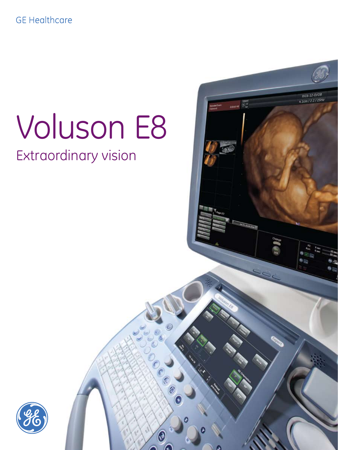### **GE Healthcare**

# Voluson E8

RICE-12-D/OB 4.1cm / 2.2 / 25Hz

mos Gy

COO

ଢ଼

# Extraordinary vision

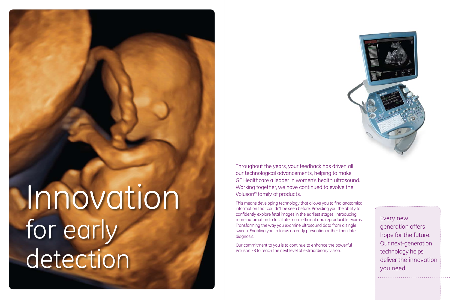# Innovation for early detection

Throughout the years, your feedback has driven all our technological advancements, helping to make GE Healthcare a leader in women's health ultrasound. Working together, we have continued to evolve the Voluson® family of products.

This means developing technology that allows you to find anatomical information that couldn't be seen before. Providing you the ability to confidently explore fetal images in the earliest stages. Introducing more automation to facilitate more efficient and reproducible exams. Transforming the way you examine ultrasound data from a single sweep. Enabling you to focus on early prevention rather than late diagnosis.

Our commitment to you is to continue to enhance the powerful Voluson E8 to reach the next level of extraordinary vision.



Every new generation offers hope for the future. Our next-generation technology helps deliver the innovation you need.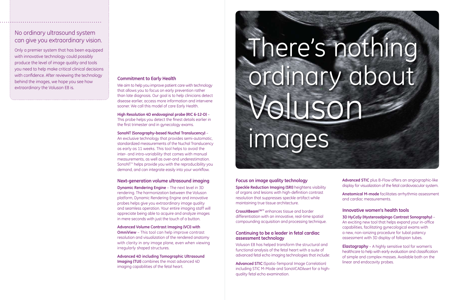#### **Focus on image quality technology**

**Speckle Reduction Imaging (SRI)** heightens visibility of organs and lesions with high-definition contrast resolution that suppresses speckle artifact while maintaining true tissue architecture.

**CrossXBeamCRI™** enhances tissue and border differentiation with an innovative, real-time spatial compounding acquisition and processing technique.

#### **Continuing to be a leader in fetal cardiac assessment technology**

Voluson E8 has helped transform the structural and functional analysis of the fetal heart with a suite of advanced fetal echo imaging technologies that include:

**Advanced STIC** (Spatio-Temporal Image Correlation) including STIC M-Mode and SonoVCAD*heart* for a highquality fetal echo examination.

- 
- 

- 
- 

#### **Commitment to Early Health**

We aim to help you improve patient care with technology that allows you to focus on early prevention rather than late diagnosis. Our goal is to help clinicians detect disease earlier, access more information and intervene sooner. We call this model of care Early Health.

**High Resolution 4D endovaginal probe (RIC 6-12-D)** – This probe helps you detect the finest details earlier in the first trimester and in gynecology exams.

**SonoNT (Sonography-based Nuchal Translucency)** – An exclusive technology that provides semi-automatic, standardized measurements of the Nuchal Translucency as early as 11 weeks. This tool helps to avoid the inter- and intra-variability that comes with manual measurements, as well as over-and underestimation. SonoNT™ helps provide you with the reproducibility you demand, and can integrate easily into your workflow.

#### **Next-generation volume ultrasound imaging**

**Dynamic Rendering Engine** – The next level in 3D rendering. The harmonization between the Voluson platform, Dynamic Rendering Engine and innovative probes helps give you extraordinary image quality and seamless operation. Your entire imaging staff will appreciate being able to acquire and analyze images in mere seconds with just the touch of a button.

**Advanced Volume Contrast Imaging (VCI) with OmniView** – This tool can help improve contrast resolution and visualization of the rendered anatomy with clarity in any image plane, even when viewing irregularly shaped structures.

**Advanced 4D including Tomographic Ultrasound Imaging (TUI)** combines the most advanced 4D imaging capabilities of the fetal heart.

**Advanced STIC** plus B-Flow offers an angiographic-like display for visualization of the fetal cardiovascular system.

**Anatomical M-mode** facilitates arrhythmia assessment and cardiac measurements.

#### **Innovative women's health tools**

**3D HyCoSy (Hysterosalpingo Contrast Sonography)** – An exciting new tool that helps expand your in-office capabilities, facilitating gynecological exams with a new, non-ionizing procedure for tubal patency assessment with 3D display of fallopian tubes.

**Elastography** – A highly sensitive tool for women's healthcare to help with early evaluation and classification of simple and complex masses. Available both on the linear and endocavity probes.

### No ordinary ultrasound system can give you extraordinary vision.

Only a premier system that has been equipped with innovative technology could possibly produce the level of image quality and tools you need to help make critical clinical decisions with confidence. After reviewing the technology behind the images, we hope you see how extraordinary the Voluson E8 is.

# There's nothing ordinary about Voluson images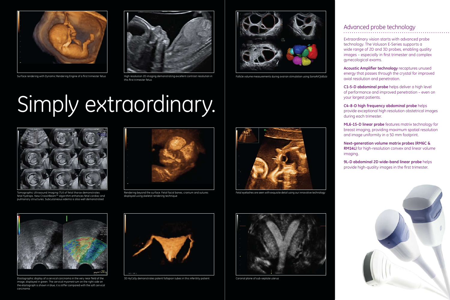# Simply extraordinary.



Surface rendering with Dynamic Rendering Engine of a first trimester fetus High resolution 2D imaging demonstrating excellent contrast resolution in



this first trimester fetus



Tomographic Ultrasound Imaging (TUI) of fetal thorax demonstrates fetal hydrops. New CrossXBeam<sup>cRI</sup> algorithm enhances fetal cardiac and pulmonary structures. Subcutaneous edema is also well demonstrated



Elastographic display of a cervical carcinoma in the very near field of the image, displayed in green. The cervical myometrium on the right side on the elastograph is shown in blue, it is stiffer compared with the soft cervical carcinoma



3D HyCoSy demonstrates patent fallopian tubes in this infertility patient



Follicle volume measurements during ovarian stimulation using SonoAVC*follicle*



Fetal eyelashes are seen with exquisite detail using our innovative technology



Coronal plane of sub-septate uterus





## Advanced probe technology

Extraordinary vision starts with advanced probe technology. The Voluson E-Series supports a wide range of 2D and 3D probes, enabling quality images – especially in first trimester and complex gynecological exams.

**Acoustic Amplifier technology** recaptures unused energy that passes through the crystal for improved axial resolution and penetration.

**C1-5-D abdominal probe** helps deliver a high level of performance and improved penetration – even on your largest patients.

**C4-8-D high frequency abdominal probe** helps provide exceptional high resolution obstetrical images during each trimester.

**ML6-15-D linear probe** features matrix technology for breast imaging, providing maximum spatial resolution and image uniformity in a 50 mm footprint.

**Next-generation volume matrix probes (RM6C & RM14L)** for high-resolution convex and linear volume imaging.

**9L-D abdominal 2D wide-band linear probe** helps provide high-quality images in the first trimester.





Rendering beyond the surface. Fetal facial bones, cranium and sutures displayed using skeletal rendering technique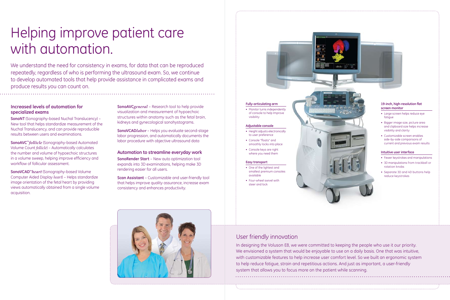#### **Increased levels of automation for specialized exams**

**SonoNT** (Sonography-based Nuchal Translucency) – New tool that helps standardize measurement of the Nuchal Translucency, and can provide reproducible results between users and examinations.

**SonoAVC™***follicle* (Sonography-based Automated Volume Count *follicle*) – Automatically calculates the number and volume of hypoechoic structures in a volume sweep, helping improve efficiency and workflow of follicular assessment.

**SonoVCAD™***heart* (Sonography-based Volume Computer Aided Display *heart*) – Helps standardize image orientation of the fetal heart by providing views automatically obtained from a single volume acquisition.

**SonoAVC***general* – Research tool to help provide visualization and measurement of hypoechoic structures within anatomy such as the fetal brain, kidneys and gynecological sonohystograms.

**SonoVCAD***labor* – Helps you evaluate second-stage labor progression, and automatically documents the labor procedure with objective ultrasound data

#### **Automation to streamline everyday work**

**SonoRender Start** – New auto optimization tool expands into 3D examinations, helping make 3D rendering easier for all users.

**Scan Assistant** – Customizable and user-friendly tool that helps improve quality assurance, increase exam consistency and enhances productivity.



• Monitor turns independently of console to help Improve visibility

# Helping improve patient care with automation.

- Height adjusts electronically to user preference
- • Console "floats" and smoothly locks into place
- • Console keys are right where you need them

- One of the lightest and smallest premium consoles available
- • Four-wheel swivel with steer and lock

We understand the need for consistency in exams, for data that can be reproduced repeatedly, regardless of who is performing the ultrasound exam. So, we continue to develop automated tools that help provide assistance in complicated exams and produce results you can count on.

## User friendly innovation

In designing the Voluson E8, we were committed to keeping the people who use it our priority. We envisioned a system that would be enjoyable to use on a daily basis. One that was intuitive, with customizable features to help increase user comfort level. So we built an ergonomic system to help reduce fatigue, strain and repetitious actions. And just as important, a user-friendly system that allows you to focus more on the patient while scanning.



#### **Fully-articulating arm**

#### **Adjustable console**

#### **Easy transport**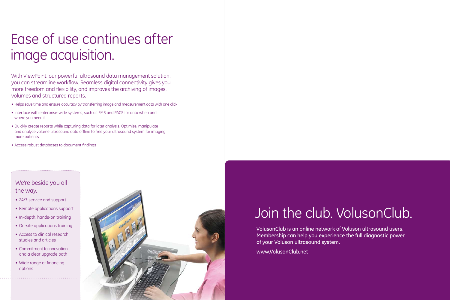# Ease of use continues after image acquisition.

# Join the club. VolusonClub.

## We're beside you all the way.

- 24/7 service and support
- Remote applications support
- In-depth, hands-on training
- On-site applications training
- Access to clinical research studies and articles
- Commitment to innovation and a clear upgrade path
- Wide range of financing options



With ViewPoint, our powerful ultrasound data management solution, you can streamline workflow. Seamless digital connectivity gives you more freedom and flexibility, and improves the archiving of images, volumes and structured reports.

- Helps save time and ensure accuracy by transferring image and measurement data with one click
- Interface with enterprise-wide systems, such as EMR and PACS for data when and where you need it
- Quickly create reports while capturing data for later analysis. Optimize, manipulate and analyze volume ultrasound data offline to free your ultrasound system for imaging more patients
- Access robust databases to document findings

VolusonClub is an online network of Voluson ultrasound users. Membership can help you experience the full diagnostic power of your Voluson ultrasound system.

www.VolusonClub.net